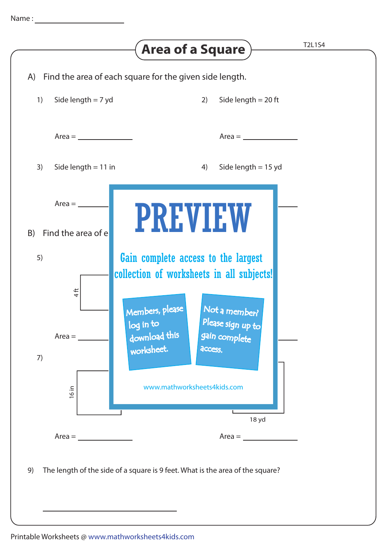